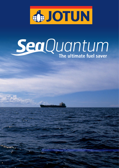

# SeaQuantum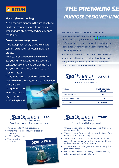### **JOTUN**

#### Silyl acrylate technology

As a recognised pioneer in the use of polymer binders in marine coatings, Jotun has been working with silyl acrylate technology since the 1990s.

#### Proven innovation process

The development of silyl acrylate binders conformed to Jotun's proven innovation process.

After years of development and testing, SeaQuantum was launched in 2000. As a consequence of ongoing development the SeaQuantum S-line was introduced to the market in 2012.

Today, SeaQuantum products have been applied to more than 6,000 vessels worldwide,

and is widely recognized as the industry's leading silyl acrylate antifouling brand.



# THE PREMIUM SE **PURPOSE DESIGNED INNO**

SeaQuantum products, with optimised binder combinations, meet the needs of special trading circumstances. They provide the very best in proven performance over the operating period – whether the vessel is static, operating at high speeds or for new building appearance.

SeaQuantum S-line incorporates the latest innovations in premium antifouling technology, based on decades of experience, providing up to 10% fuel cost saving compared to market average performance.



**ULTRA S** 

#### For low activity vessels

| <b>SeaQuantum</b><br><b>Ultra S</b> |
|-------------------------------------|
| 50                                  |
| 175                                 |
| 90 months                           |
|                                     |

**Sea**U **PRO** 

Premium product for universal trades

- Providing up to 7% fuel cost saving
- 90 months controlled fouling protection in 3 coats
- 175µm DFT per coat
- Volume solids 58% ± 2%





For static and laid-up vessels

- All types of vessels laid-up for up to 24 months before re-entering trade
- Where laying-up for short or long periods directly from dry-docking and newbuilding
- SeaQuantum Static is a last coat only, on top of the paint system designed for trading. Provides additional predictable protection for 24 months
- Silyl technology provides great mechanical strength and good drying times
- Also suitable for vessels with very low voyage factor, giving protection for up to 36 months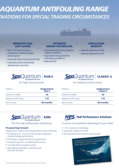# AQUANTUM ANTIFOULING RANGE **PUATIONS FOR SPECIAL TRADING CIRCUMSTANCES**



- **•** Up to 12% fuel cost saving compared to market average performance\*
- Improved initial surface smoothness
- Improved surface smoothness development over time

#### **OPTIMISED** BINDER TECHNOLOGY

- Optimised binder technology for trading conditions
- Improved fouling control for challenging conditions
- Reduced VOC

Plus S

#### APPLICATION **BENEFITS**

- Reduced application costs
- Reduced application time

#### **Sea**Quantun **PLUS S**

Product **SeaQuantum** 

Volume % solids 50

Maximum DFT/coat 175

Service time **90 months** 



**CLASSIC S** 

#### For high activity vessels For medium activity vessels

| Product          | <b>SeaQuantum</b><br><b>Classic S</b> |
|------------------|---------------------------------------|
| Volume % solids  | 50                                    |
| Maximum DFT/coat | 175                                   |
| Service time     | 90 months                             |



The first silyl methacrylate antifouling

#### The great leap forward

SeaQuantum X200 is the next generation silyl antifouling.

- Providing up to 15% fuel cost saving compared to market average performance
- Providing a unique performance guarantee
- Provides long term unrivalled performance
- An initial 20% smoother surface
- High efficacy biocides in sufficient and accurate amounts

## **HPS** Hull Performance Solutions

#### A source of competitive advantage for your fleet

- > 5% overall cost advantage
- Improved utilisation of fleet
- Documented GHG emission improvement



#### \*Over 60 months dry docking interval for a typical vessel in a typical trade